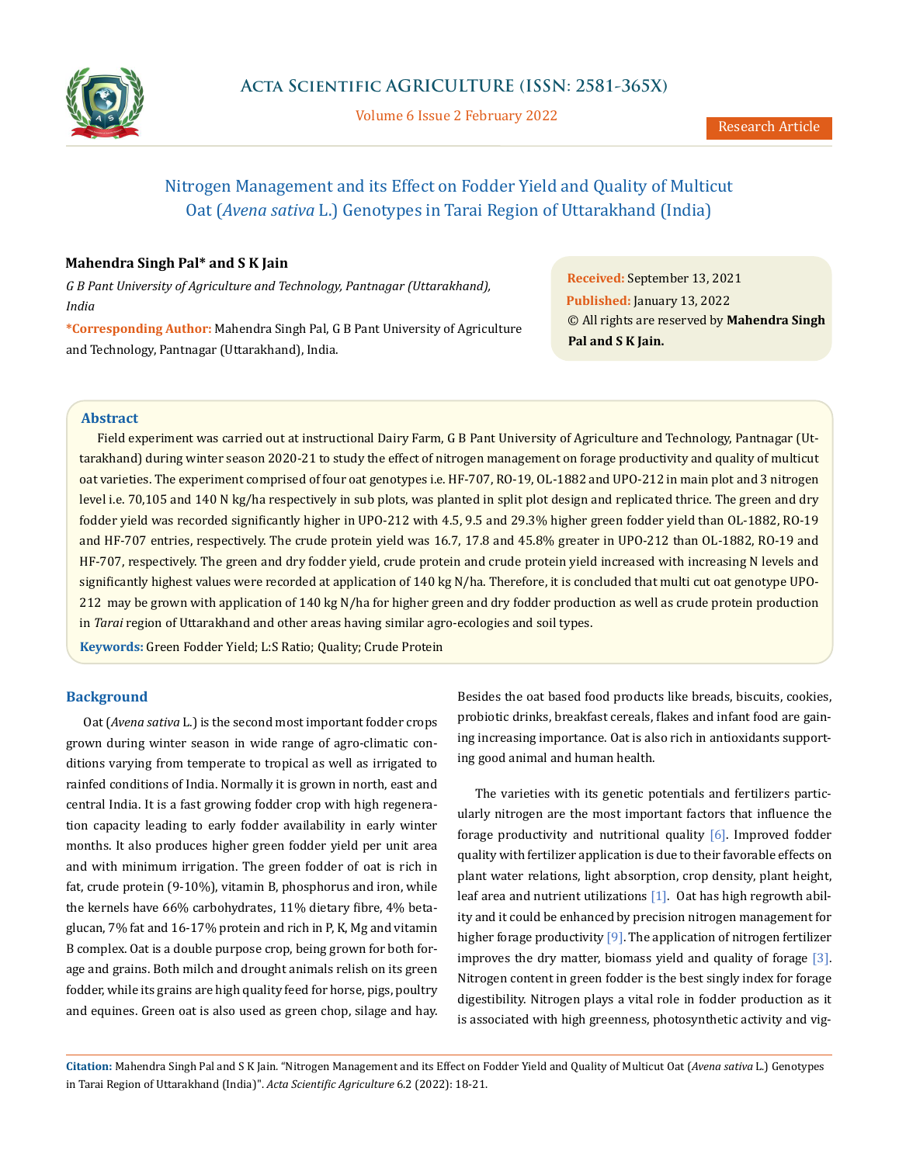

Volume 6 Issue 2 February 2022

# Nitrogen Management and its Effect on Fodder Yield and Quality of Multicut Oat (*Avena sativa* L.) Genotypes in Tarai Region of Uttarakhand (India)

# **Mahendra Singh Pal\* and S K Jain**

*G B Pant University of Agriculture and Technology, Pantnagar (Uttarakhand), India* 

**\*Corresponding Author:** Mahendra Singh Pal, G B Pant University of Agriculture and Technology, Pantnagar (Uttarakhand), India.

**Received:** September 13, 2021 **Published:** January 13, 2022 © All rights are reserved by **Mahendra Singh Pal and S K Jain.**

## **Abstract**

Field experiment was carried out at instructional Dairy Farm, G B Pant University of Agriculture and Technology, Pantnagar (Uttarakhand) during winter season 2020-21 to study the effect of nitrogen management on forage productivity and quality of multicut oat varieties. The experiment comprised of four oat genotypes i.e. HF-707, RO-19, OL-1882 and UPO-212 in main plot and 3 nitrogen level i.e. 70,105 and 140 N kg/ha respectively in sub plots, was planted in split plot design and replicated thrice. The green and dry fodder yield was recorded significantly higher in UPO-212 with 4.5, 9.5 and 29.3% higher green fodder yield than OL-1882, RO-19 and HF-707 entries, respectively. The crude protein yield was 16.7, 17.8 and 45.8% greater in UPO-212 than OL-1882, RO-19 and HF-707, respectively. The green and dry fodder yield, crude protein and crude protein yield increased with increasing N levels and significantly highest values were recorded at application of 140 kg N/ha. Therefore, it is concluded that multi cut oat genotype UPO-212 may be grown with application of 140 kg N/ha for higher green and dry fodder production as well as crude protein production in *Tarai* region of Uttarakhand and other areas having similar agro-ecologies and soil types.

**Keywords:** Green Fodder Yield; L:S Ratio; Quality; Crude Protein

### **Background**

Oat (*Avena sativa* L.) is the second most important fodder crops grown during winter season in wide range of agro-climatic conditions varying from temperate to tropical as well as irrigated to rainfed conditions of India. Normally it is grown in north, east and central India. It is a fast growing fodder crop with high regeneration capacity leading to early fodder availability in early winter months. It also produces higher green fodder yield per unit area and with minimum irrigation. The green fodder of oat is rich in fat, crude protein (9-10%), vitamin B, phosphorus and iron, while the kernels have 66% carbohydrates, 11% dietary fibre, 4% betaglucan, 7% fat and 16-17% protein and rich in P, K, Mg and vitamin B complex. Oat is a double purpose crop, being grown for both forage and grains. Both milch and drought animals relish on its green fodder, while its grains are high quality feed for horse, pigs, poultry and equines. Green oat is also used as green chop, silage and hay.

Besides the oat based food products like breads, biscuits, cookies, probiotic drinks, breakfast cereals, flakes and infant food are gaining increasing importance. Oat is also rich in antioxidants supporting good animal and human health.

The varieties with its genetic potentials and fertilizers particularly nitrogen are the most important factors that influence the forage productivity and nutritional quality [6]. Improved fodder quality with fertilizer application is due to their favorable effects on plant water relations, light absorption, crop density, plant height, leaf area and nutrient utilizations [1]. Oat has high regrowth ability and it could be enhanced by precision nitrogen management for higher forage productivity [9]. The application of nitrogen fertilizer improves the dry matter, biomass yield and quality of forage [3]. Nitrogen content in green fodder is the best singly index for forage digestibility. Nitrogen plays a vital role in fodder production as it is associated with high greenness, photosynthetic activity and vig-

**Citation:** Mahendra Singh Pal and S K Jain*.* "Nitrogen Management and its Effect on Fodder Yield and Quality of Multicut Oat (*Avena sativa* L.) Genotypes in Tarai Region of Uttarakhand (India)". *Acta Scientific Agriculture* 6.2 (2022): 18-21.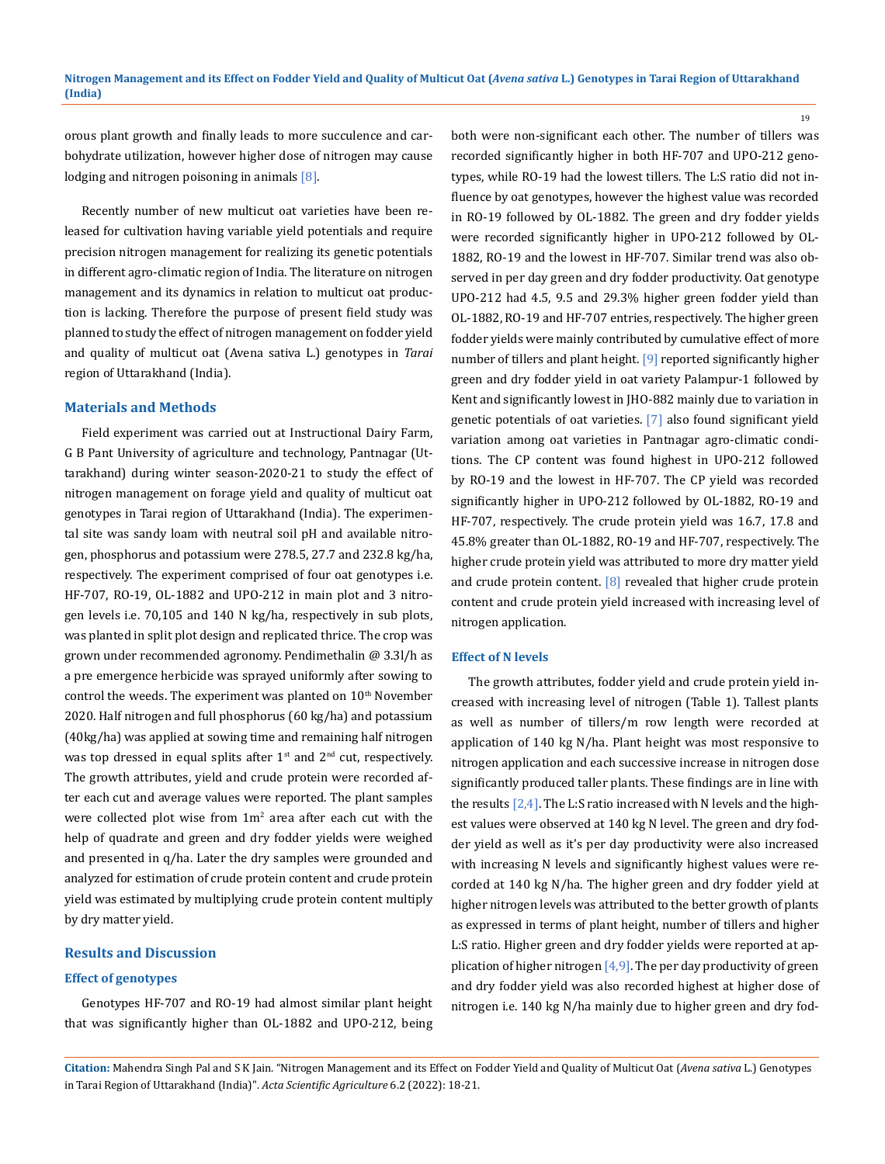orous plant growth and finally leads to more succulence and carbohydrate utilization, however higher dose of nitrogen may cause lodging and nitrogen poisoning in animals [8].

Recently number of new multicut oat varieties have been released for cultivation having variable yield potentials and require precision nitrogen management for realizing its genetic potentials in different agro-climatic region of India. The literature on nitrogen management and its dynamics in relation to multicut oat production is lacking. Therefore the purpose of present field study was planned to study the effect of nitrogen management on fodder yield and quality of multicut oat (Avena sativa L.) genotypes in *Tarai* region of Uttarakhand (India).

## **Materials and Methods**

Field experiment was carried out at Instructional Dairy Farm, G B Pant University of agriculture and technology, Pantnagar (Uttarakhand) during winter season-2020-21 to study the effect of nitrogen management on forage yield and quality of multicut oat genotypes in Tarai region of Uttarakhand (India). The experimental site was sandy loam with neutral soil pH and available nitrogen, phosphorus and potassium were 278.5, 27.7 and 232.8 kg/ha, respectively. The experiment comprised of four oat genotypes i.e. HF-707, RO-19, OL-1882 and UPO-212 in main plot and 3 nitrogen levels i.e. 70,105 and 140 N kg/ha, respectively in sub plots, was planted in split plot design and replicated thrice. The crop was grown under recommended agronomy. Pendimethalin @ 3.3l/h as a pre emergence herbicide was sprayed uniformly after sowing to control the weeds. The experiment was planted on  $10<sup>th</sup>$  November 2020. Half nitrogen and full phosphorus (60 kg/ha) and potassium (40kg/ha) was applied at sowing time and remaining half nitrogen was top dressed in equal splits after 1<sup>st</sup> and 2<sup>nd</sup> cut, respectively. The growth attributes, yield and crude protein were recorded after each cut and average values were reported. The plant samples were collected plot wise from  $1m^2$  area after each cut with the help of quadrate and green and dry fodder yields were weighed and presented in q/ha. Later the dry samples were grounded and analyzed for estimation of crude protein content and crude protein yield was estimated by multiplying crude protein content multiply by dry matter yield.

## **Results and Discussion**

#### **Effect of genotypes**

Genotypes HF-707 and RO-19 had almost similar plant height that was significantly higher than OL-1882 and UPO-212, being

both were non-significant each other. The number of tillers was recorded significantly higher in both HF-707 and UPO-212 genotypes, while RO-19 had the lowest tillers. The L:S ratio did not influence by oat genotypes, however the highest value was recorded in RO-19 followed by OL-1882. The green and dry fodder yields were recorded significantly higher in UPO-212 followed by OL-1882, RO-19 and the lowest in HF-707. Similar trend was also observed in per day green and dry fodder productivity. Oat genotype UPO-212 had 4.5, 9.5 and 29.3% higher green fodder yield than OL-1882, RO-19 and HF-707 entries, respectively. The higher green fodder yields were mainly contributed by cumulative effect of more number of tillers and plant height. [9] reported significantly higher green and dry fodder yield in oat variety Palampur-1 followed by Kent and significantly lowest in JHO-882 mainly due to variation in genetic potentials of oat varieties. [7] also found significant yield variation among oat varieties in Pantnagar agro-climatic conditions. The CP content was found highest in UPO-212 followed by RO-19 and the lowest in HF-707. The CP yield was recorded significantly higher in UPO-212 followed by OL-1882, RO-19 and HF-707, respectively. The crude protein yield was 16.7, 17.8 and 45.8% greater than OL-1882, RO-19 and HF-707, respectively. The higher crude protein yield was attributed to more dry matter yield and crude protein content. [8] revealed that higher crude protein content and crude protein yield increased with increasing level of nitrogen application.

#### **Effect of N levels**

The growth attributes, fodder yield and crude protein yield increased with increasing level of nitrogen (Table 1). Tallest plants as well as number of tillers/m row length were recorded at application of 140 kg N/ha. Plant height was most responsive to nitrogen application and each successive increase in nitrogen dose significantly produced taller plants. These findings are in line with the results  $[2,4]$ . The L:S ratio increased with N levels and the highest values were observed at 140 kg N level. The green and dry fodder yield as well as it's per day productivity were also increased with increasing N levels and significantly highest values were recorded at 140 kg N/ha. The higher green and dry fodder yield at higher nitrogen levels was attributed to the better growth of plants as expressed in terms of plant height, number of tillers and higher L:S ratio. Higher green and dry fodder yields were reported at application of higher nitrogen  $[4,9]$ . The per day productivity of green and dry fodder yield was also recorded highest at higher dose of nitrogen i.e. 140 kg N/ha mainly due to higher green and dry fod-

**Citation:** Mahendra Singh Pal and S K Jain*.* "Nitrogen Management and its Effect on Fodder Yield and Quality of Multicut Oat (*Avena sativa* L.) Genotypes in Tarai Region of Uttarakhand (India)". *Acta Scientific Agriculture* 6.2 (2022): 18-21.

19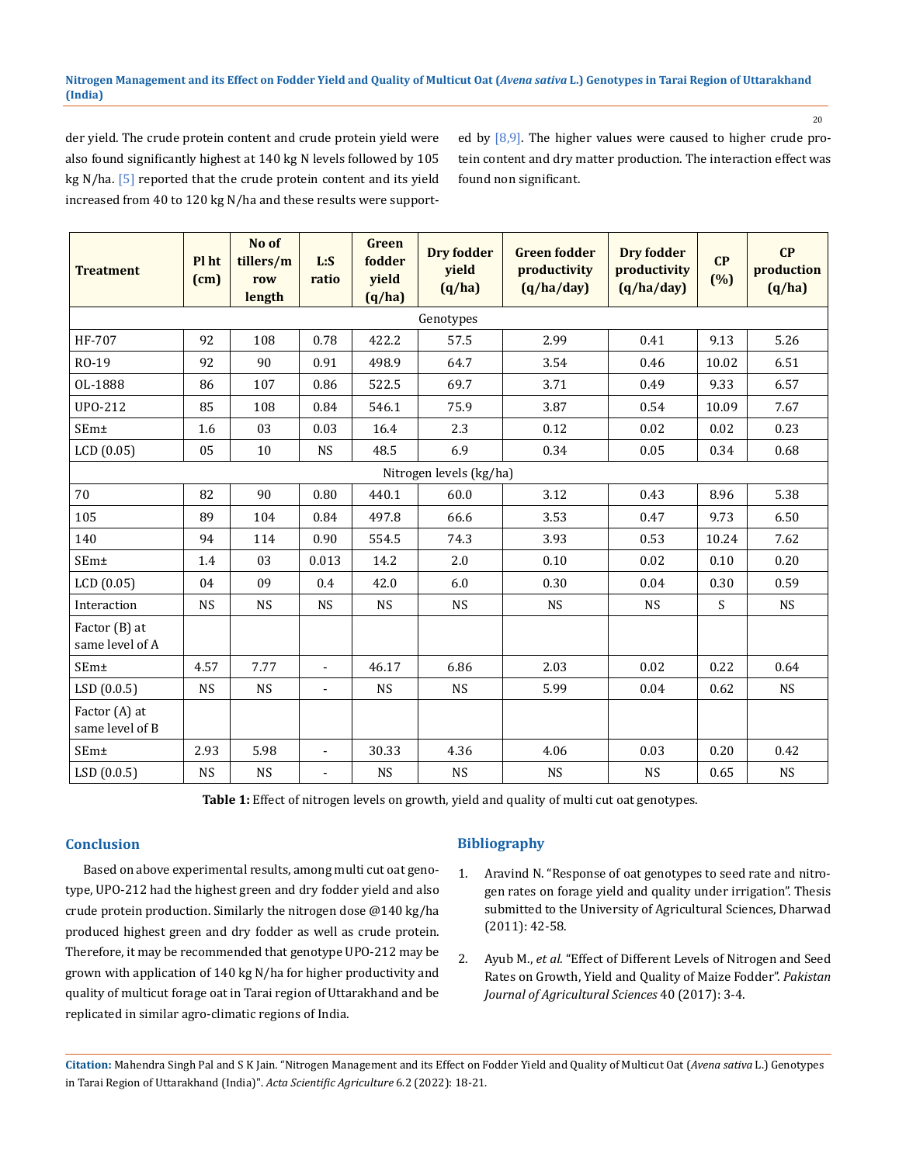#### **Nitrogen Management and its Effect on Fodder Yield and Quality of Multicut Oat (***Avena sativa* **L.) Genotypes in Tarai Region of Uttarakhand (India)**

20

der yield. The crude protein content and crude protein yield were also found significantly highest at 140 kg N levels followed by 105 kg N/ha. [5] reported that the crude protein content and its yield increased from 40 to 120 kg N/ha and these results were supported by  $[8,9]$ . The higher values were caused to higher crude protein content and dry matter production. The interaction effect was found non significant.

| <b>Treatment</b>                 | Pl ht<br>(cm) | No of<br>tillers/m<br>row<br>length | L:S<br>ratio   | <b>Green</b><br>fodder<br>yield<br>(q/ha) | <b>Dry fodder</b><br>yield<br>(q/ha) | <b>Green fodder</b><br>productivity<br>(q/ha/day) | <b>Dry fodder</b><br>productivity<br>(q/ha/day) | CP<br>(%) | CP<br>production<br>(q/ha) |
|----------------------------------|---------------|-------------------------------------|----------------|-------------------------------------------|--------------------------------------|---------------------------------------------------|-------------------------------------------------|-----------|----------------------------|
| Genotypes                        |               |                                     |                |                                           |                                      |                                                   |                                                 |           |                            |
| HF-707                           | 92            | 108                                 | 0.78           | 422.2                                     | 57.5                                 | 2.99                                              | 0.41                                            | 9.13      | 5.26                       |
| RO-19                            | 92            | 90                                  | 0.91           | 498.9                                     | 64.7                                 | 3.54                                              | 0.46                                            | 10.02     | 6.51                       |
| OL-1888                          | 86            | 107                                 | 0.86           | 522.5                                     | 69.7                                 | 3.71                                              | 0.49                                            | 9.33      | 6.57                       |
| UPO-212                          | 85            | 108                                 | 0.84           | 546.1                                     | 75.9                                 | 3.87                                              | 0.54                                            | 10.09     | 7.67                       |
| SEm±                             | 1.6           | 03                                  | 0.03           | 16.4                                      | 2.3                                  | 0.12                                              | 0.02                                            | 0.02      | 0.23                       |
| LCD(0.05)                        | 05            | 10                                  | <b>NS</b>      | 48.5                                      | 6.9                                  | 0.34                                              | 0.05                                            | 0.34      | 0.68                       |
| Nitrogen levels (kg/ha)          |               |                                     |                |                                           |                                      |                                                   |                                                 |           |                            |
| 70                               | 82            | 90                                  | 0.80           | 440.1                                     | 60.0                                 | 3.12                                              | 0.43                                            | 8.96      | 5.38                       |
| 105                              | 89            | 104                                 | 0.84           | 497.8                                     | 66.6                                 | 3.53                                              | 0.47                                            | 9.73      | 6.50                       |
| 140                              | 94            | 114                                 | 0.90           | 554.5                                     | 74.3                                 | 3.93                                              | 0.53                                            | 10.24     | 7.62                       |
| SEm±                             | 1.4           | 03                                  | 0.013          | 14.2                                      | 2.0                                  | 0.10                                              | 0.02                                            | 0.10      | 0.20                       |
| LCD(0.05)                        | 04            | 09                                  | 0.4            | 42.0                                      | 6.0                                  | 0.30                                              | 0.04                                            | 0.30      | 0.59                       |
| Interaction                      | <b>NS</b>     | <b>NS</b>                           | <b>NS</b>      | <b>NS</b>                                 | <b>NS</b>                            | <b>NS</b>                                         | <b>NS</b>                                       | S         | <b>NS</b>                  |
| Factor (B) at<br>same level of A |               |                                     |                |                                           |                                      |                                                   |                                                 |           |                            |
| SEm±                             | 4.57          | 7.77                                | $\blacksquare$ | 46.17                                     | 6.86                                 | 2.03                                              | 0.02                                            | 0.22      | 0.64                       |
| LSD(0.0.5)                       | <b>NS</b>     | <b>NS</b>                           | ä,             | <b>NS</b>                                 | <b>NS</b>                            | 5.99                                              | 0.04                                            | 0.62      | <b>NS</b>                  |
| Factor (A) at<br>same level of B |               |                                     |                |                                           |                                      |                                                   |                                                 |           |                            |
| SEm±                             | 2.93          | 5.98                                | $\blacksquare$ | 30.33                                     | 4.36                                 | 4.06                                              | 0.03                                            | 0.20      | 0.42                       |
| LSD(0.0.5)                       | <b>NS</b>     | <b>NS</b>                           | ä,             | <b>NS</b>                                 | <b>NS</b>                            | $_{\rm NS}$                                       | <b>NS</b>                                       | 0.65      | <b>NS</b>                  |

**Table 1:** Effect of nitrogen levels on growth, yield and quality of multi cut oat genotypes.

# **Conclusion**

Based on above experimental results, among multi cut oat genotype, UPO-212 had the highest green and dry fodder yield and also crude protein production. Similarly the nitrogen dose @140 kg/ha produced highest green and dry fodder as well as crude protein. Therefore, it may be recommended that genotype UPO-212 may be grown with application of 140 kg N/ha for higher productivity and quality of multicut forage oat in Tarai region of Uttarakhand and be replicated in similar agro-climatic regions of India.

# **Bibliography**

- 1. [Aravind N. "Response of oat genotypes to seed rate and nitro](https://krishikosh.egranth.ac.in/handle/1/85187)[gen rates on forage yield and quality under irrigation". Thesis](https://krishikosh.egranth.ac.in/handle/1/85187) [submitted to the University of Agricultural Sciences, Dharwad](https://krishikosh.egranth.ac.in/handle/1/85187) [\(2011\): 42-58.](https://krishikosh.egranth.ac.in/handle/1/85187)
- 2. Ayub M., *et al*[. "Effect of Different Levels of Nitrogen and Seed](https://pakjas.com.pk/papers/510.pdf) [Rates on Growth, Yield and Quality of Maize Fodder".](https://pakjas.com.pk/papers/510.pdf) *Pakistan [Journal of Agricultural Sciences](https://pakjas.com.pk/papers/510.pdf)* 40 (2017): 3-4.

**Citation:** Mahendra Singh Pal and S K Jain*.* "Nitrogen Management and its Effect on Fodder Yield and Quality of Multicut Oat (*Avena sativa* L.) Genotypes in Tarai Region of Uttarakhand (India)". *Acta Scientific Agriculture* 6.2 (2022): 18-21.